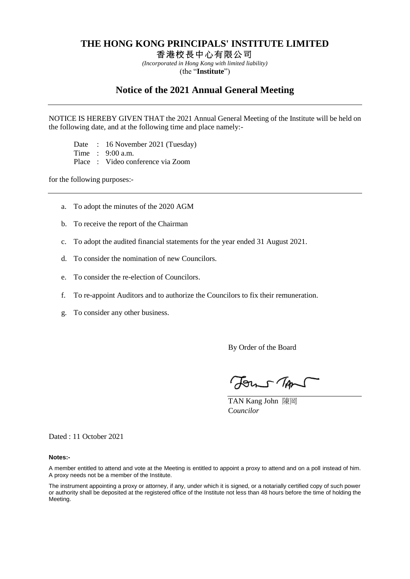### **THE HONG KONG PRINCIPALS' INSTITUTE LIMITED**

香 港 校 長 中 心有 限公 司

*(Incorporated in Hong Kong with limited liability)* (the "**Institute**")

### **Notice of the 2021 Annual General Meeting**

NOTICE IS HEREBY GIVEN THAT the 2021 Annual General Meeting of the Institute will be held on the following date, and at the following time and place namely:-

Date : 16 November 2021 (Tuesday)

Time : 9:00 a.m.

Place : Video conference via Zoom

for the following purposes:-

- a. To adopt the minutes of the 2020 AGM
- b. To receive the report of the Chairman
- c. To adopt the audited financial statements for the year ended 31 August 2021.
- d. To consider the nomination of new Councilors.
- e. To consider the re-election of Councilors.
- f. To re-appoint Auditors and to authorize the Councilors to fix their remuneration.
- g. To consider any other business.

By Order of the Board

Forms TAN

TAN Kang John 陳岡 C*ouncilor*

Dated : 11 October 2021

#### **Notes:-**

A member entitled to attend and vote at the Meeting is entitled to appoint a proxy to attend and on a poll instead of him. A proxy needs not be a member of the Institute.

The instrument appointing a proxy or attorney, if any, under which it is signed, or a notarially certified copy of such power or authority shall be deposited at the registered office of the Institute not less than 48 hours before the time of holding the Meeting.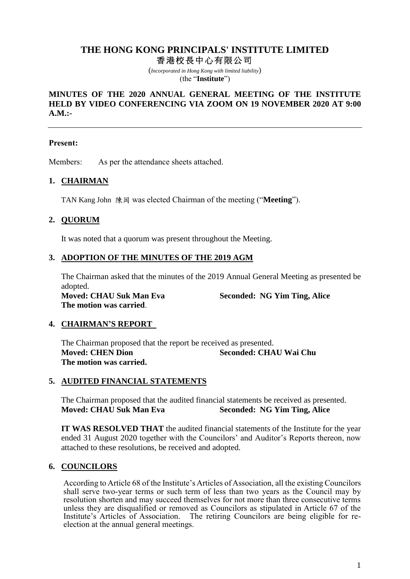## **THE HONG KONG PRINCIPALS' INSTITUTE LIMITED** 香 港 校 長 中 心有 限公 司

(*Incorporated in Hong Kong with limited liability*) (the "**Institute**")

### **MINUTES OF THE 2020 ANNUAL GENERAL MEETING OF THE INSTITUTE HELD BY VIDEO CONFERENCING VIA ZOOM ON 19 NOVEMBER 2020 AT 9:00 A.M.:-**

#### **Present:**

Members: As per the attendance sheets attached.

### **1. CHAIRMAN**

TAN Kang John 陳岡 was elected Chairman of the meeting ("**Meeting**").

### **2. QUORUM**

It was noted that a quorum was present throughout the Meeting.

#### **3. ADOPTION OF THE MINUTES OF THE 2019 AGM**

The Chairman asked that the minutes of the 2019 Annual General Meeting as presented be adopted.

**The motion was carried**.

**Moved: CHAU Suk Man Eva Seconded: NG Yim Ting, Alice**

#### **4. CHAIRMAN'S REPORT**

The Chairman proposed that the report be received as presented. **Moved: CHEN Dion Seconded: CHAU Wai Chu The motion was carried.**

#### **5. AUDITED FINANCIAL STATEMENTS**

The Chairman proposed that the audited financial statements be received as presented. **Moved: CHAU Suk Man Eva Seconded: NG Yim Ting, Alice**

**IT WAS RESOLVED THAT** the audited financial statements of the Institute for the year ended 31 August 2020 together with the Councilors' and Auditor's Reports thereon, now attached to these resolutions, be received and adopted.

#### **6. COUNCILORS**

According to Article 68 of the Institute's Articles of Association, all the existing Councilors shall serve two-year terms or such term of less than two years as the Council may by resolution shorten and may succeed themselves for not more than three consecutive terms unless they are disqualified or removed as Councilors as stipulated in Article 67 of the Institute's Articles of Association. The retiring Councilors are being eligible for reelection at the annual general meetings.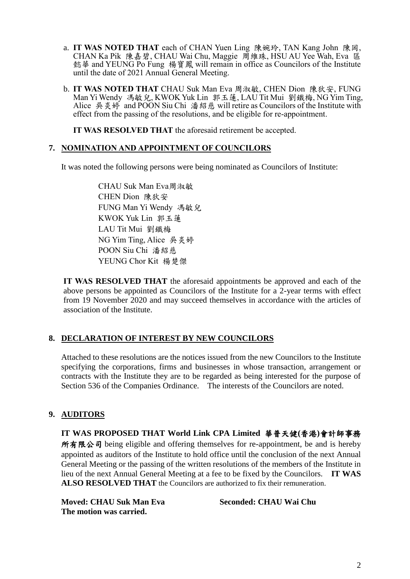- a. **IT WAS NOTED THAT** each of CHAN Yuen Ling 陳婉玲, TAN Kang John 陳岡, CHAN Ka Pik 陳嘉碧, CHAU Wai Chu, Maggie 周維珠, HSU AU Yee Wah, Eva 區 懿華 and YEUNG Po Fung 楊寶鳳 will remain in office as Councilors of the Institute until the date of 2021 Annual General Meeting.
- b. **IT WAS NOTED THAT** CHAU Suk Man Eva 周淑敏, CHEN Dion 陳狄安, FUNG Man Yi Wendy 馮敏兒, KWOK Yuk Lin 郭玉蓮, LAU Tit Mui 劉鐵梅, NG Yim Ting, Alice 吳炎婷 and POON Siu Chi 潘紹慈 will retire as Councilors of the Institute with effect from the passing of the resolutions, and be eligible for re-appointment.

**IT WAS RESOLVED THAT** the aforesaid retirement be accepted.

### **7. NOMINATION AND APPOINTMENT OF COUNCILORS**

It was noted the following persons were being nominated as Councilors of Institute:

CHAU Suk Man Eva周淑敏 CHEN Dion 陳狄安 FUNG Man Yi Wendy 馮敏兒 KWOK Yuk Lin 郭玉蓮 LAU Tit Mui 劉鐵梅 NG Yim Ting, Alice 吳炎婷 POON Siu Chi 潘紹慈 YEUNG Chor Kit 楊楚傑

**IT WAS RESOLVED THAT** the aforesaid appointments be approved and each of the above persons be appointed as Councilors of the Institute for a 2-year terms with effect from 19 November 2020 and may succeed themselves in accordance with the articles of association of the Institute.

### **8. DECLARATION OF INTEREST BY NEW COUNCILORS**

Attached to these resolutions are the notices issued from the new Councilors to the Institute specifying the corporations, firms and businesses in whose transaction, arrangement or contracts with the Institute they are to be regarded as being interested for the purpose of Section 536 of the Companies Ordinance. The interests of the Councilors are noted.

## **9. AUDITORS**

## **IT WAS PROPOSED THAT World Link CPA Limited** 華普天健**(**香港**)**會計師事務

所有限公司 being eligible and offering themselves for re-appointment, be and is hereby appointed as auditors of the Institute to hold office until the conclusion of the next Annual General Meeting or the passing of the written resolutions of the members of the Institute in lieu of the next Annual General Meeting at a fee to be fixed by the Councilors. **IT WAS ALSO RESOLVED THAT** the Councilors are authorized to fix their remuneration.

**Moved: CHAU Suk Man Eva Seconded: CHAU Wai Chu The motion was carried.**